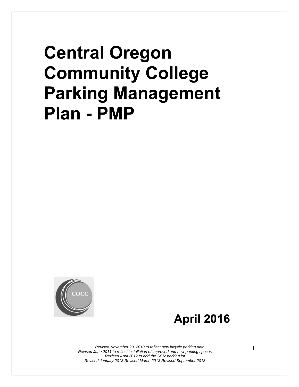# **Central Oregon Community College Parking Management Plan - PMP**



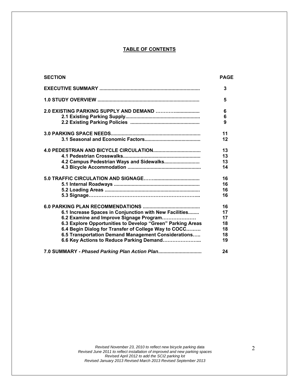#### **TABLE OF CONTENTS**

| <b>SECTION</b>                                             | <b>PAGE</b> |
|------------------------------------------------------------|-------------|
|                                                            | 3           |
|                                                            | 5           |
|                                                            | 6           |
|                                                            | 6           |
|                                                            | 9           |
|                                                            | 11          |
|                                                            | 12          |
|                                                            | 13          |
|                                                            | 13          |
| 4.2 Campus Pedestrian Ways and Sidewalks                   | 13          |
|                                                            | 14          |
|                                                            | 16          |
|                                                            | 16          |
|                                                            | 16          |
|                                                            | 16          |
|                                                            | 16          |
| 6.1 Increase Spaces in Conjunction with New Facilities     | 17          |
| 6.2 Examine and Improve Signage Program                    | 17          |
| 6.3 Explore Opportunities to Develop "Green" Parking Areas | 18          |
| 6.4 Begin Dialog for Transfer of College Way to COCC       | 18          |
| 6.5 Transportation Demand Management Considerations        | 18          |
| 6.6 Key Actions to Reduce Parking Demand                   | 19          |
| 7.0 SUMMARY - Phased Parking Plan Action Plan              | 24          |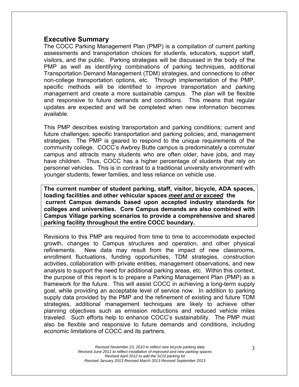#### **Executive Summary**

The COCC Parking Management Plan (PMP) is a compilation of current parking assessments and transportation choices for students, educators, support staff, visitors, and the public. Parking strategies will be discussed in the body of the PMP as well as identifying combinations of parking techniques, additional Transportation Demand Management (TDM) strategies, and connections to other non-college transportation options, etc. Through implementation of the PMP, specific methods will be identified to improve transportation and parking management and create a more sustainable campus. The plan will be flexible and responsive to future demands and conditions. This means that regular updates are expected and will be completed when new information becomes available.

This PMP describes existing transportation and parking conditions; current and future challenges; specific transportation and parking policies; and, management strategies. The PMP is geared to respond to the unique requirements of the community college. COCC's Awbrey Butte campus is predominately a commuter campus and attracts many students who are often older, have jobs, and may have children. Thus, COCC has a higher percentage of students that rely on personnel vehicles. This is in contrast to a traditional university environment with younger students, fewer families, and less reliance on vehicle use.

**The current number of student parking, staff, visitor, bicycle, ADA spaces, loading facilities and other vehicular spaces** *meet and or exceed* **the** **current Campus demands based upon accepted industry standards for colleges and universities. Core Campus demands are also combined with Campus Village parking scenarios to provide a comprehensive and shared parking facility throughout the entire COCC boundary.** 

Revisions to this PMP are required from time to time to accommodate expected growth, changes to Campus structures and operation, and other physical refinements. New data may result from the impact of new classrooms, enrollment fluctuations, funding opportunities, TDM strategies, construction activities, collaboration with private entities, management observations, and new analysis to support the need for additional parking areas, etc. Within this context, the purpose of this report is to prepare a Parking Management Plan (PMP) as a framework for the future. This will assist COCC in achieving a long-term supply goal, while providing an acceptable level of service now. In addition to parking supply data provided by the PMP and the refinement of existing and future TDM strategies, additional management techniques are likely to achieve other planning objectives such as emission reductions and reduced vehicle miles traveled. Such efforts help to enhance COCC's sustainability. The PMP must also be flexible and responsive to future demands and conditions, including economic limitations of COCC and its partners.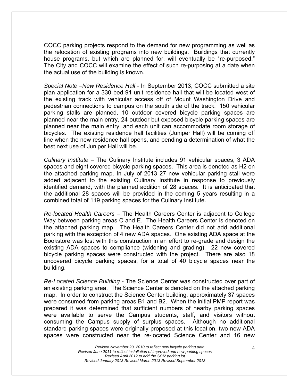COCC parking projects respond to the demand for new programming as well as the relocation of existing programs into new buildings. Buildings that currently house programs, but which are planned for, will eventually be "re-purposed." The City and COCC will examine the effect of such re-purposing at a date when the actual use of the building is known.

*Special Note –New Residence Hall* - In September 2013, COCC submitted a site plan application for a 330 bed 91 unit residence hall that will be located west of the existing track with vehicular access off of Mount Washington Drive and pedestrian connections to campus on the south side of the track. 150 vehicular parking stalls are planned, 10 outdoor covered bicycle parking spaces are planned near the main entry, 24 outdoor but exposed bicycle parking spaces are planned near the main entry, and each unit can accommodate room storage of bicycles. The existing residence hall facilities (Juniper Hall) will be coming off line when the new residence hall opens, and pending a determination of what the best next use of Juniper Hall will be.

*Culinary Institute* – The Culinary Institute includes 91 vehicular spaces, 3 ADA spaces and eight covered bicycle parking spaces. This area is denoted as H2 on the attached parking map. In July of 2013 27 new vehicular parking stall were added adjacent to the existing Culinary Institute in response to previously identified demand, with the planned addition of 28 spaces. It is anticipated that the additional 28 spaces will be provided in the coming 5 years resulting in a combined total of 119 parking spaces for the Culinary Institute.

*Re-located Health Careers* – The Health Careers Center is adjacent to College Way between parking areas C and E. The Health Careers Center is denoted on the attached parking map. The Health Careers Center did not add additional parking with the exception of 4 new ADA spaces. One existing ADA space at the Bookstore was lost with this construction in an effort to re-grade and design the existing ADA spaces to compliance (widening and grading). 22 new covered bicycle parking spaces were constructed with the project. There are also 18 uncovered bicycle parking spaces, for a total of 40 bicycle spaces near the building.

*Re-Located Science Building -* The Science Center was constructed over part of an existing parking area. The Science Center is denoted on the attached parking map. In order to construct the Science Center building, approximately 37 spaces were consumed from parking areas B1 and B2. When the initial PMP report was prepared it was determined that sufficient numbers of nearby parking spaces were available to serve the Campus students, staff, and visitors without consuming the Campus supply of surplus spaces. Although no additional standard parking spaces were originally proposed at this location, two new ADA spaces were constructed near the re-located Science Center and 16 new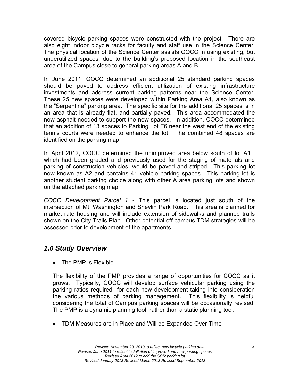covered bicycle parking spaces were constructed with the project. There are also eight indoor bicycle racks for faculty and staff use in the Science Center. The physical location of the Science Center assists COCC in using existing, but underutilized spaces, due to the building's proposed location in the southeast area of the Campus close to general parking areas A and B.

In June 2011, COCC determined an additional 25 standard parking spaces should be paved to address efficient utilization of existing infrastructure investments and address current parking patterns near the Science Center. These 25 new spaces were developed within Parking Area A1, also known as the "Serpentine" parking area. The specific site for the additional 25 spaces is in an area that is already flat, and partially paved. This area accommodated the new asphalt needed to support the new spaces. In addition, COCC determined that an addition of 13 spaces to Parking Lot F6 near the west end of the existing tennis courts were needed to enhance the lot. The combined 48 spaces are identified on the parking map.

In April 2012, COCC determined the unimproved area below south of lot A1 , which had been graded and previously used for the staging of materials and parking of construction vehicles, would be paved and striped. This parking lot now known as A2 and contains 41 vehicle parking spaces. This parking lot is another student parking choice along with other A area parking lots and shown on the attached parking map.

*COCC Development Parcel 1* - This parcel is located just south of the intersection of Mt. Washington and Shevlin Park Road. This area is planned for market rate housing and will include extension of sidewalks and planned trails shown on the City Trails Plan. Other potential off campus TDM strategies will be assessed prior to development of the apartments.

# *1.0Study Overview*

• The PMP is Flexible

The flexibility of the PMP provides a range of opportunities for COCC as it grows. Typically, COCC will develop surface vehicular parking using the parking ratios required for each new development taking into consideration the various methods of parking management. This flexibility is helpful considering the total of Campus parking spaces will be occasionally revised. The PMP is a dynamic planning tool, rather than a static planning tool.

TDM Measures are in Place and Will be Expanded Over Time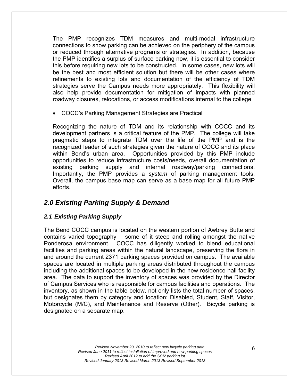The PMP recognizes TDM measures and multi-modal infrastructure connections to show parking can be achieved on the periphery of the campus or reduced through alternative programs or strategies. In addition, because the PMP identifies a surplus of surface parking now, it is essential to consider this before requiring new lots to be constructed. In some cases, new lots will be the best and most efficient solution but there will be other cases where refinements to existing lots and documentation of the efficiency of TDM strategies serve the Campus needs more appropriately. This flexibility will also help provide documentation for mitigation of impacts with planned roadway closures, relocations, or access modifications internal to the college.

COCC's Parking Management Strategies are Practical

Recognizing the nature of TDM and its relationship with COCC and its development partners is a critical feature of the PMP. The college will take pragmatic steps to integrate TDM over the life of the PMP and is the recognized leader of such strategies given the nature of COCC and its place within Bend's urban area. Opportunities provided by this PMP include opportunities to reduce infrastructure costs/needs, overall documentation of existing parking supply and internal roadway/parking connections. Importantly, the PMP provides a *system* of parking management tools. Overall, the campus base map can serve as a base map for all future PMP efforts.

# *2.0 Existing Parking Supply & Demand*

### *2.1 Existing Parking Supply*

The Bend COCC campus is located on the western portion of Awbrey Butte and contains varied topography – some of it steep and rolling amongst the native Ponderosa environment. COCC has diligently worked to blend educational facilities and parking areas within the natural landscape, preserving the flora in and around the current 2371 parking spaces provided on campus. The available spaces are located in multiple parking areas distributed throughout the campus including the additional spaces to be developed in the new residence hall facility area. The data to support the inventory of spaces was provided by the Director of Campus Services who is responsible for campus facilities and operations. The inventory, as shown in the table below, not only lists the total number of spaces, but designates them by category and location: Disabled, Student, Staff, Visitor, Motorcycle (M/C), and Maintenance and Reserve (Other). Bicycle parking is designated on a separate map.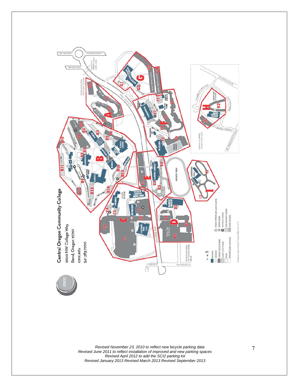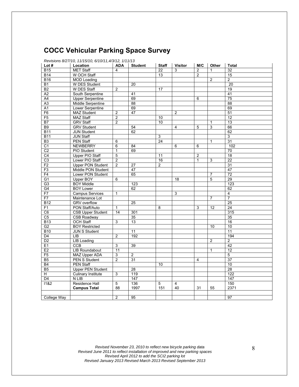# **COCC Vehicular Parking Space Survey**

| Lot $#$         | Location                  | <b>ADA</b>     | <b>Student</b>  | <b>Staff</b> | <b>Visitor</b> | M/C            | Other          | <b>Total</b>    |
|-----------------|---------------------------|----------------|-----------------|--------------|----------------|----------------|----------------|-----------------|
| <b>B15</b>      | <b>MET Staff</b>          | 4              |                 | 22           | 3              | $\overline{2}$ | 1              | $\overline{32}$ |
| <b>B14</b>      | W OCH Staff               |                |                 | 13           |                | $\overline{2}$ |                | 15              |
| <b>B16</b>      | <b>MOD Loading</b>        |                |                 |              |                |                | $\overline{2}$ | $\overline{2}$  |
| <b>B1</b>       | W DES Student             |                | 20              |              |                |                |                | $\overline{20}$ |
| B2              | W DES Staff               | 2              |                 | 17           |                |                |                | 19              |
| A2              | South Serpentine          |                | 41              |              |                |                |                | 41              |
| A <sub>4</sub>  | <b>Upper Serpentine</b>   |                | 69              |              |                | 6              |                | 75              |
| A3              | <b>Middle Serpentine</b>  |                | 88              |              |                |                |                | 88              |
| $\overline{A1}$ | Lower Serpentine          |                | 69              |              |                |                |                | 69              |
| F <sub>6</sub>  | <b>MAZ Student</b>        | $\overline{2}$ | 47              |              | 2              |                |                | 51              |
| F <sub>5</sub>  | <b>MAZ Staff</b>          | $\overline{2}$ |                 | 10           |                |                |                | 12              |
| <b>B7</b>       | <b>GRV Staff</b>          | 2              |                 | 10           |                |                | 1              | 13              |
| B <sub>9</sub>  | <b>GRV</b> Student        |                | 54              |              | 4              | 5              | 3              | 66              |
| <b>B11</b>      | <b>JUN Student</b>        |                | 62              |              |                |                |                | 62              |
| <b>B11</b>      | <b>JUN Staff</b>          |                |                 | 3            |                |                |                | 3               |
| B <sub>3</sub>  | <b>PEN Staff</b>          | 6              |                 | 24           |                |                | $\mathbf{1}$   | 31              |
| C <sub>1</sub>  | <b>NEWBERRY</b>           | 6              | 84              |              | 6              | 6              |                | 102             |
| C <sub>2</sub>  | PIO Student               | $\mathbf{1}$   | 69              |              |                |                |                | 70              |
| $\overline{C4}$ | <b>Upper PIO Staff</b>    | $\overline{5}$ |                 | 11           |                | 2              |                | 18              |
| C3              | Lower PIO Staff           | $\overline{2}$ |                 | 16           |                | $\mathbf{1}$   | 3              | 22              |
| F2              | <b>Upper PON Student</b>  | $\overline{2}$ | 27              | 2            |                |                |                | 31              |
| F3              | Middle PON Student        |                | 47              |              |                |                |                | 47              |
| F4              | Lower PON Student         |                | 65              |              |                |                | $\overline{7}$ | $\overline{72}$ |
|                 | <b>Upper BOY</b>          |                |                 |              |                |                | $\overline{5}$ | 29              |
| G1              |                           | 6              |                 |              | 18             |                |                |                 |
| G <sub>3</sub>  | <b>BOY Middle</b>         |                | 123             |              |                |                |                | 123             |
| G4              | <b>BOY Lower</b>          |                | 62              |              |                |                |                | 62              |
| F7              | <b>Campus Services</b>    | $\mathbf{1}$   |                 |              | 3              |                |                | 4               |
| F7              | Maintenance Lot           |                |                 |              |                |                | $\overline{7}$ | $\overline{7}$  |
| <b>B12</b>      | <b>GRV</b> overflow       |                | 25              |              |                |                |                | 25              |
| F <sub>1</sub>  | PON Staff/Auto            | $\mathbf{1}$   |                 | 8            |                | 3              | 12             | 24              |
| C6              | <b>CSB Upper Student</b>  | 14             | 301             |              |                |                |                | 315             |
| C5              | <b>CSB Roadway</b>        |                | 35              |              |                |                |                | 35              |
| <b>B13</b>      | <b>OCH Staff</b>          | 3              | 13              |              |                |                |                | 16              |
| G2              | <b>BOY Restricted</b>     |                |                 |              |                |                | 10             | 10              |
| <b>B10</b>      | <b>JUN S Student</b>      |                | 11              |              |                |                |                | 11              |
| D <sub>4</sub>  | LIB                       | 2              | 192             |              |                |                |                | 194             |
| D <sub>2</sub>  | <b>LIB Loading</b>        |                |                 |              |                |                | 2              | $\overline{2}$  |
| E1              | CCB                       | 3              | $\overline{39}$ |              |                |                |                | $\overline{42}$ |
| E <sub>2</sub>  | LIB Roundabout            | 11             |                 |              |                |                | $\mathbf{1}$   | 12              |
| F <sub>5</sub>  | MAZ Upper ADA             | 3              | 2               |              |                |                |                | 5               |
| B <sub>5</sub>  | PEN S Student             | $\overline{2}$ | 31              |              |                | 4              |                | $\overline{37}$ |
| <b>B4</b>       | <b>PEN Staff</b>          |                |                 | 10           |                |                |                | 10              |
| B5              | <b>Upper PEN Student</b>  |                | 28              |              |                |                |                | 28              |
| $\overline{H}$  | <b>Culinary Institute</b> | 3              | 119             |              |                |                |                | 122             |
| D4              | N LIB                     |                | 147             |              |                |                |                | 147             |
| 11&2            | Residence Hall            | 5              | 136             | 5            | $\overline{4}$ |                |                | 150             |
|                 | <b>Campus Total</b>       | 88             | 1997            | 151          | 40             | 31             | 55             | 2371            |
|                 |                           |                |                 |              |                |                |                |                 |
| College Way     |                           | $\overline{2}$ | 95              |              |                |                |                | 97              |
|                 |                           |                |                 |              |                |                |                |                 |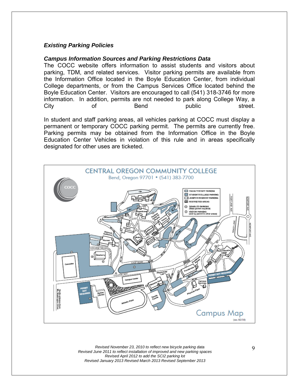#### *Existing Parking Policies*

#### *Campus Information Sources and Parking Restrictions Data*

The COCC website offers information to assist students and visitors about parking, TDM, and related services. Visitor parking permits are available from the Information Office located in the Boyle Education Center, from individual College departments, or from the Campus Services Office located behind the Boyle Education Center. Visitors are encouraged to call (541) 318-3746 for more information. In addition, permits are not needed to park along College Way, a City of Bend public street.

In student and staff parking areas, all vehicles parking at COCC must display a permanent or temporary COCC parking permit. The permits are currently free. Parking permits may be obtained from the Information Office in the Boyle Education Center Vehicles in violation of this rule and in areas specifically designated for other uses are ticketed.

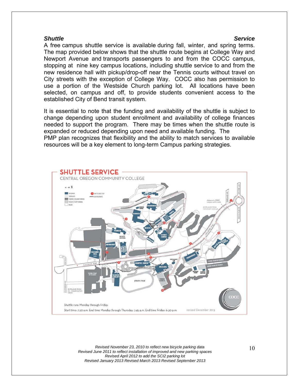#### *Shuttle Service*

A free campus shuttle service is available during fall, winter, and spring terms. The map provided below shows that the shuttle route begins at College Way and Newport Avenue and transports passengers to and from the COCC campus, stopping at nine key campus locations, including shuttle service to and from the new residence hall with pickup/drop-off near the Tennis courts without travel on City streets with the exception of College Way. COCC also has permission to use a portion of the Westside Church parking lot. All locations have been selected, on campus and off, to provide students convenient access to the established City of Bend transit system.

It is essential to note that the funding and availability of the shuttle is subject to change depending upon student enrollment and availability of college finances needed to support the program. There may be times when the shuttle route is expanded or reduced depending upon need and available funding. The PMP plan recognizes that flexibility and the ability to match services to available resources will be a key element to long-term Campus parking strategies.

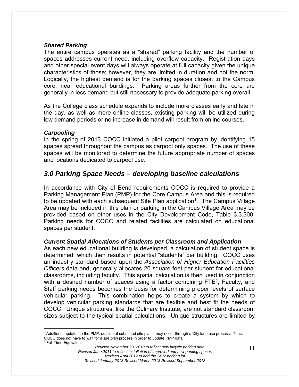#### *Shared Parking*

The entire campus operates as a "shared" parking facility and the number of spaces addresses current need, including overflow capacity. Registration days and other special event days will always operate at full capacity given the unique characteristics of those; however, they are limited in duration and not the norm. Logically, the highest demand is for the parking spaces closest to the Campus core, near educational buildings. Parking areas further from the core are generally in less demand but still necessary to provide adequate parking overall.

As the College class schedule expands to include more classes early and late in the day, as well as more online classes, existing parking will be utilized during low demand periods or no increase in demand will result from online courses.

#### *Carpooling*

In the spring of 2013 COCC initiated a pilot carpool program by identifying 15 spaces spread throughout the campus as carpool only spaces. The use of these spaces will be monitored to determine the future appropriate number of spaces and locations dedicated to carpool use.

# *3.0 Parking Space Needs – developing baseline calculations*

In accordance with City of Bend requirements COCC is required to provide a Parking Management Plan (PMP) for the Core Campus Area and this is required to be updated with each subsequent Site Plan application<sup>1</sup>. The Campus Village Area may be included in this plan or parking in the Campus Village Area may be provided based on other uses in the City Development Code, Table 3.3.300. Parking needs for COCC and related facilities are calculated on educational spaces per student.

#### *Current Spatial Allocations of Students per Classroom and Application*

As each new educational building is developed, a calculation of student space is determined, which then results in potential "students" per building. COCC uses an industry standard based upon the *Association of Higher Education Facilities Officers* data and, generally allocates 20 square feet per student for educational classrooms, including faculty. This spatial calculation is then used in conjunction with a desired number of spaces using a factor combining  $FTE<sup>2</sup>$ , Faculty, and Staff parking needs becomes the basis for determining proper levels of surface vehicular parking. This combination helps to create a system by which to develop vehicular parking standards that are flexible and best fit the needs of COCC. Unique structures, like the Culinary Institute, are not standard classroom sizes subject to the typical spatial calculations. Unique structures are limited by

 $\overline{a}$ 1 Additional updates to the PMP, outside of submitted site plans, may occur through a City land use process. Thus, COCC does not have to wait for a *site plan* process in order to update PMP data. 2 <sup>2</sup> Full Time Equivalent

*Revised November 23, 2010 to reflect new bicycle parking data Revised June 2011 to reflect installation of improved and new parking spaces Revised April 2012 to add the SCI2 parking lot Revised January 2013 Revised March 2013 Revised September 2013*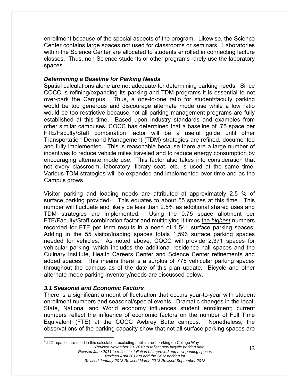enrollment because of the special aspects of the program. Likewise, the Science Center contains large spaces not used for classrooms or seminars. Laboratories within the Science Center are allocated to students enrolled in connecting lecture classes. Thus, non-Science students or other programs rarely use the laboratory spaces.

#### *Determining a Baseline for Parking Needs*

Spatial calculations alone are not adequate for determining parking needs. Since COCC is refining/expanding its parking and TDM programs it is essential to not over-park the Campus. Thus, a one-to-one ratio for student/faculty parking would be too generous and discourage alternate mode use while a low ratio would be too restrictive because not all parking management programs are fully established at this time. Based upon industry standards and examples from other similar campuses, COCC has determined that a baseline of .75 space per FTE/Faculty/Staff combination factor will be a useful guide until other Transportation Demand Management (TDM) strategies are refined, documented and fully implemented. This is reasonable because there are a large number of incentives to reduce vehicle miles traveled and to reduce energy consumption by encouraging alternate mode use. This factor also takes into consideration that not every classroom, laboratory, library seat, etc. is used at the same time. Various TDM strategies will be expanded and implemented over time and as the Campus grows.

Visitor parking and loading needs are attributed at approximately 2.5 % of surface parking provided<sup>3</sup>. This equates to about 55 spaces at this time. This number will fluctuate and likely be less than 2.5% as additional shared uses and TDM strategies are implemented. Using the 0.75 space allotment per FTE/Faculty/Staff combination factor and multiplying it times the *highest* numbers recorded for FTE per term results in a need of 1,541 surface parking spaces. Adding in the 55 visitor/loading spaces totals 1,596 surface parking spaces needed for vehicles. As noted above, COCC will provide 2,371 spaces for vehicular parking, which includes the additional residence hall spaces and the Culinary Institute, Health Careers Center and Science Center refinements and added spaces. This means there is a surplus of 775 vehicular parking spaces throughout the campus as of the date of this plan update. Bicycle and other alternate mode parking inventory/needs are discussed below.

#### *3.1 Seasonal and Economic Factors*

 $\overline{a}$ 

There is a significant amount of fluctuation that occurs year-to-year with student enrollment numbers and seasonal/special events. Dramatic changes in the local, State, National and World economy influences student enrollment; current numbers reflect the influence of economic factors on the number of Full Time Equivalent (FTE) at the COCC Awbrey Butte campus. Nonetheless, the observations of the parking capacity show that not all surface parking spaces are

*Revised November 23, 2010 to reflect new bicycle parking data Revised June 2011 to reflect installation of improved and new parking spaces Revised April 2012 to add the SCI2 parking lot Revised January 2013 Revised March 2013 Revised September 2013*  <sup>3</sup> 2221 spaces are used in this calculation, excluding public street parking on College Way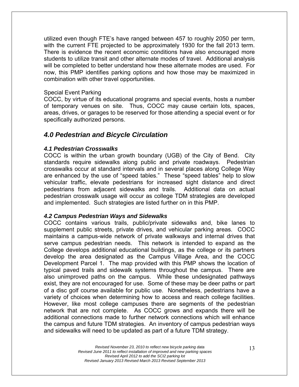utilized even though FTE's have ranged between 457 to roughly 2050 per term, with the current FTE projected to be approximately 1930 for the fall 2013 term. There is evidence the recent economic conditions have also encouraged more students to utilize transit and other alternate modes of travel. Additional analysis will be completed to better understand how these alternate modes are used. For now, this PMP identifies parking options and how those may be maximized in combination with other travel opportunities.

#### Special Event Parking

COCC, by virtue of its educational programs and special events, hosts a number of temporary venues on site. Thus, COCC may cause certain lots, spaces, areas, drives, or garages to be reserved for those attending a special event or for specifically authorized persons.

### *4.0 Pedestrian and Bicycle Circulation*

#### *4.1 Pedestrian Crosswalks*

COCC is within the urban growth boundary (UGB) of the City of Bend. City standards require sidewalks along public and private roadways. Pedestrian crosswalks occur at standard intervals and in several places along College Way are enhanced by the use of "speed tables." These "speed tables" help to slow vehicular traffic, elevate pedestrians for increased sight distance and direct pedestrians from adjacent sidewalks and trails. Additional data on actual pedestrian crosswalk usage will occur as college TDM strategies are developed and implemented. Such strategies are listed further on in this PMP.

#### *4.2 Campus Pedestrian Ways and Sidewalks*

COCC contains various trails, public/private sidewalks and, bike lanes to supplement public streets, private drives, and vehicular parking areas. COCC maintains a campus-wide network of private walkways and internal drives that serve campus pedestrian needs. This network is intended to expand as the College develops additional educational buildings, as the college or its partners develop the area designated as the Campus Village Area, and the COCC Development Parcel 1. The map provided with this PMP shows the location of typical paved trails and sidewalk systems throughout the campus. There are also unimproved paths on the campus. While these undesignated pathways exist, they are not encouraged for use. Some of these may be deer paths or part of a disc golf course available for public use. Nonetheless, pedestrians have a variety of choices when determining how to access and reach college facilities. However, like most college campuses there are segments of the pedestrian network that are not complete. As COCC grows and expands there will be additional connections made to further network connections which will enhance the campus and future TDM strategies. An inventory of campus pedestrian ways and sidewalks will need to be updated as part of a future TDM strategy.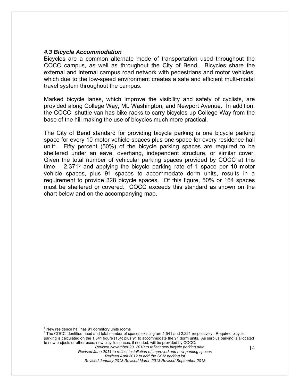#### *4.3 Bicycle Accommodation*

Bicycles are a common alternate mode of transportation used throughout the COCC campus, as well as throughout the City of Bend. Bicycles share the external and internal campus road network with pedestrians and motor vehicles, which due to the low-speed environment creates a safe and efficient multi-modal travel system throughout the campus.

Marked bicycle lanes, which improve the visibility and safety of cyclists, are provided along College Way, Mt. Washington, and Newport Avenue. In addition, the COCC shuttle van has bike racks to carry bicycles up College Way from the base of the hill making the use of bicycles much more practical.

The City of Bend standard for providing bicycle parking is one bicycle parking space for every 10 motor vehicle spaces plus one space for every residence hall unit<sup>4</sup>. Fifty percent (50%) of the bicycle parking spaces are required to be sheltered under an eave, overhang, independent structure, or similar cover. Given the total number of vehicular parking spaces provided by COCC at this time  $-2,371^5$  and applying the bicycle parking rate of 1 space per 10 motor vehicle spaces, plus 91 spaces to accommodate dorm units, results in a requirement to provide 328 bicycle spaces. Of this figure, 50% or 164 spaces must be sheltered or covered. COCC exceeds this standard as shown on the chart below and on the accompanying map.

 $\overline{a}$ 

5 The COCC identified need and total number of spaces existing are 1,541 and 2,221 respectively. Required bicycle parking is calculated on the 1,541 figure (154) plus 91 to accommodate the 91 dorm units. As surplus parking is allocated to new projects or other uses, new bicycle spaces, if needed, will be provided by COCC.

<sup>4</sup> New residence hall has 91 dormitory units rooms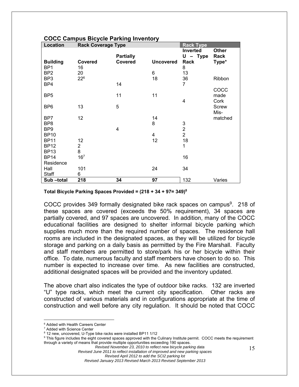| Location                   | 0000 000000 DIOYOR LAHANG MTVONOLY<br><b>Rack Coverage Type</b> |                                    |                  | <b>Rack Type</b>               |                        |
|----------------------------|-----------------------------------------------------------------|------------------------------------|------------------|--------------------------------|------------------------|
| <b>Building</b>            | Covered                                                         | <b>Partially</b><br><b>Covered</b> | <b>Uncovered</b> | Inverted<br>$U - Type$<br>Rack | Other<br>Rack<br>Type* |
| BP <sub>1</sub>            | 16                                                              |                                    |                  | 8                              |                        |
| BP <sub>2</sub>            | 20                                                              |                                    | 6                | 13                             |                        |
| BP <sub>3</sub>            | $22^{6}$                                                        |                                    | 18               | 36                             | Ribbon                 |
| BP4                        |                                                                 | 14                                 |                  | $\overline{7}$                 |                        |
|                            |                                                                 |                                    |                  |                                | COCC                   |
| BP <sub>5</sub>            |                                                                 | 11                                 | 11               | 4                              | made                   |
| BP <sub>6</sub>            | 13                                                              | 5                                  |                  |                                | Cork<br>Screw          |
|                            |                                                                 |                                    |                  |                                | Mis-                   |
| BP7                        | 12                                                              |                                    | 14               |                                | matched                |
| BP <sub>8</sub>            |                                                                 |                                    | 8                | 3                              |                        |
| BP <sub>9</sub>            |                                                                 | 4                                  |                  | $\overline{2}$                 |                        |
| <b>BP10</b>                |                                                                 |                                    | 4                | $\overline{2}$                 |                        |
| <b>BP11</b>                | 12                                                              |                                    | 12               | 18                             |                        |
| <b>BP12</b><br><b>BP13</b> | $\overline{2}$<br>8                                             |                                    |                  | 1                              |                        |
| <b>BP14</b>                | 16 <sup>7</sup>                                                 |                                    |                  | 16                             |                        |
| Residence                  |                                                                 |                                    |                  |                                |                        |
| Hall                       | 101                                                             |                                    | 24               | 34                             |                        |
| Staff                      | 6                                                               |                                    |                  |                                |                        |
| Sub-total                  | 218                                                             | 34                                 | 97               | 132                            | Varies                 |

#### **COCC Campus Bicycle Parking Inventory**

**Total Bicycle Parking Spaces Provided = (218 + 34 + 97= 349)8**

COCC provides 349 formally designated bike rack spaces on campus $9$ . 218 of these spaces are covered (exceeds the 50% requirement), 34 spaces are partially covered, and 97 spaces are uncovered. In addition, many of the COCC educational facilities are designed to shelter informal bicycle parking which supplies much more than the required number of spaces. The residence hall rooms are included in the designated spaces, as they will be utilized for bicycle storage and parking on a daily basis as permitted by the Fire Marshall. Faculty and staff members are permitted to store/park his or her bicycle within their office. To date, numerous faculty and staff members have chosen to do so. This number is expected to increase over time. As new facilities are constructed, additional designated spaces will be provided and the inventory updated.

The above chart also indicates the type of outdoor bike racks. 132 are inverted "U" type racks, which meet the current city specification. Other racks are constructed of various materials and in configurations appropriate at the time of construction and well before any city regulation. It should be noted that COCC

1

*Revised June 2011 to reflect installation of improved and new parking spaces Revised April 2012 to add the SCI2 parking lot* 

<sup>6</sup> Added with Health Careers Center

<sup>7</sup> Added with Science Center

 $^8$  12 new, uncovered, U-Type bike racks were installed BP11 1/12<br><sup>9</sup> This figure includes the eight covered spaces approved with the f

<sup>&</sup>lt;sup>9</sup> This figure includes the eight covered spaces approved with the Culinary Institute permit. COCC meets the requirement through a variety of means that provide multiple opportunities exceeding 190 spaces.

*Revised November 23, 2010 to reflect new bicycle parking data* 

*Revised January 2013 Revised March 2013 Revised September 2013*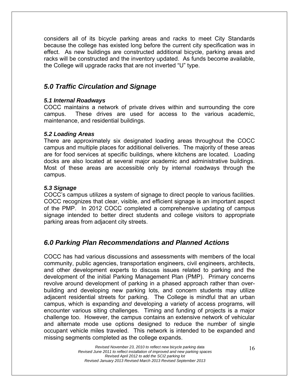considers all of its bicycle parking areas and racks to meet City Standards because the college has existed long before the current city specification was in effect. As new buildings are constructed additional bicycle, parking areas and racks will be constructed and the inventory updated. As funds become available, the College will upgrade racks that are not inverted "U" type.

# *5.0 Traffic Circulation and Signage*

#### *5.1 Internal Roadways*

COCC maintains a network of private drives within and surrounding the core campus. These drives are used for access to the various academic, maintenance, and residential buildings.

#### *5.2 Loading Areas*

There are approximately six designated loading areas throughout the COCC campus and multiple places for additional deliveries. The majority of these areas are for food services at specific buildings, where kitchens are located. Loading docks are also located at several major academic and administrative buildings. Most of these areas are accessible only by internal roadways through the campus.

### *5.3 Signage*

COCC's campus utilizes a system of signage to direct people to various facilities. COCC recognizes that clear, visible, and efficient signage is an important aspect of the PMP. In 2012 COCC completed a comprehensive updating of campus signage intended to better direct students and college visitors to appropriate parking areas from adjacent city streets.

# *6.0 Parking Plan Recommendations and Planned Actions*

COCC has had various discussions and assessments with members of the local community, public agencies, transportation engineers, civil engineers, architects, and other development experts to discuss issues related to parking and the development of the initial Parking Management Plan (PMP). Primary concerns revolve around development of parking in a phased approach rather than overbuilding and developing new parking lots, and concern students may utilize adjacent residential streets for parking. The College is mindful that an urban campus, which is expanding *and* developing a variety of access programs, will encounter various siting challenges. Timing and funding of projects is a major challenge too. However, the campus contains an extensive network of vehicular and alternate mode use options designed to reduce the number of single occupant vehicle miles traveled. This network is intended to be expanded and missing segments completed as the college expands.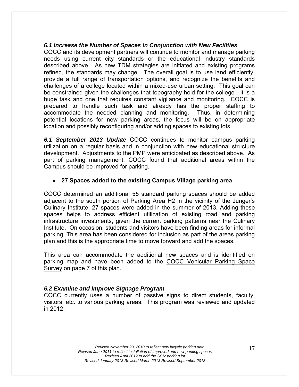#### *6.1 Increase the Number of Spaces in Conjunction with New Facilities*

COCC and its development partners will continue to monitor and manage parking needs using current city standards or the educational industry standards described above. As new TDM strategies are initiated and existing programs refined, the standards may change. The overall goal is to use land efficiently, provide a full range of transportation options, and recognize the benefits and challenges of a college located within a mixed-use urban setting. This goal can be constrained given the challenges that topography hold for the college - it is a huge task and one that requires constant vigilance and monitoring. COCC is prepared to handle such task and already has the proper staffing to accommodate the needed planning and monitoring. Thus, in determining potential locations for new parking areas, the focus will be on appropriate location and possibly reconfiguring and/or adding spaces to existing lots.

*6.1 September 2013 Update* COCC continues to monitor campus parking utilization on a regular basis and in conjunction with new educational structure development. Adjustments to the PMP were anticipated as described above. As part of parking management, COCC found that additional areas within the Campus should be improved for parking.

#### **27 Spaces added to the existing Campus Village parking area**

COCC determined an additional 55 standard parking spaces should be added adjacent to the south portion of Parking Area H2 in the vicinity of the Junger's Culinary Institute. 27 spaces were added in the summer of 2013. Adding these spaces helps to address efficient utilization of existing road and parking infrastructure investments, given the current parking patterns near the Culinary Institute. On occasion, students and visitors have been finding areas for informal parking. This area has been considered for inclusion as part of the areas parking plan and this is the appropriate time to move forward and add the spaces.

This area can accommodate the additional new spaces and is identified on parking map and have been added to the COCC Vehicular Parking Space Survey on page 7 of this plan.

#### *6.2 Examine and Improve Signage Program*

COCC currently uses a number of passive signs to direct students, faculty, visitors, etc. to various parking areas. This program was reviewed and updated in 2012.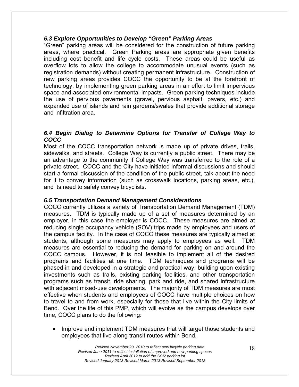#### *6.3 Explore Opportunities to Develop "Green" Parking Areas*

"Green" parking areas will be considered for the construction of future parking areas, where practical. Green Parking areas are appropriate given benefits including cost benefit and life cycle costs. These areas could be useful as overflow lots to allow the college to accommodate unusual events (such as registration demands) without creating permanent infrastructure. Construction of new parking areas provides COCC the opportunity to be at the forefront of technology, by implementing green parking areas in an effort to limit impervious space and associated environmental impacts. Green parking techniques include the use of pervious pavements (gravel, pervious asphalt, pavers, etc.) and expanded use of islands and rain gardens/swales that provide additional storage and infiltration area.

#### *6.4 Begin Dialog to Determine Options for Transfer of College Way to COCC*

Most of the COCC transportation network is made up of private drives, trails, sidewalks, and streets. College Way is currently a public street. There may be an advantage to the community if College Way was transferred to the role of a private street. COCC and the City have initiated informal discussions and should start a formal discussion of the condition of the public street, talk about the need for it to convey information (such as crosswalk locations, parking areas, etc.), and its need to safely convey bicyclists.

#### *6.5 Transportation Demand Management Considerations*

COCC currently utilizes a variety of Transportation Demand Management (TDM) measures. TDM is typically made up of a set of measures determined by an employer, in this case the employer is COCC. These measures are aimed at reducing single occupancy vehicle (SOV) trips made by employees and users of the campus facility. In the case of COCC these measures are typically aimed at students, although some measures may apply to employees as well. TDM measures are essential to reducing the demand for parking on and around the COCC campus. However, it is not feasible to implement all of the desired programs and facilities at one time. TDM techniques and programs will be phased-in and developed in a strategic and practical way, building upon existing investments such as trails, existing parking facilities, and other transportation programs such as transit, ride sharing, park and ride, and shared infrastructure with adjacent mixed-use developments. The majority of TDM measures are most effective when students and employees of COCC have multiple choices on how to travel to and from work, especially for those that live within the City limits of Bend. Over the life of this PMP, which will evolve as the campus develops over time, COCC plans to do the following:

• Improve and implement TDM measures that will target those students and employees that live along transit routes within Bend.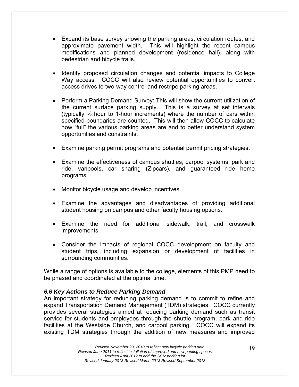- Expand its base survey showing the parking areas, circulation routes, and approximate pavement width. This will highlight the recent campus modifications and planned development (residence hall), along with pedestrian and bicycle trails.
- Identify proposed circulation changes and potential impacts to College Way access. COCC will also review potential opportunities to convert access drives to two-way control and restripe parking areas.
- Perform a Parking Demand Survey: This will show the current utilization of the current surface parking supply. This is a survey at set intervals (typically  $\frac{1}{2}$  hour to 1-hour increments) where the number of cars within specified boundaries are counted. This will then allow COCC to calculate how "full" the various parking areas are and to better understand system opportunities and constraints.
- Examine parking permit programs and potential permit pricing strategies.
- Examine the effectiveness of campus shuttles, carpool systems, park and ride, vanpools, car sharing (Zipcars), and guaranteed ride home programs.
- Monitor bicycle usage and develop incentives.
- Examine the advantages and disadvantages of providing additional student housing on campus and other faculty housing options.
- Examine the need for additional sidewalk, trail, and crosswalk improvements.
- Consider the impacts of regional COCC development on faculty and student trips, including expansion or development of facilities in surrounding communities.

While a range of options is available to the college, elements of this PMP need to be phased and coordinated at the optimal time.

#### *6.6 Key Actions to Reduce Parking Demand*

An important strategy for reducing parking demand is to commit to refine and expand Transportation Demand Management (TDM) strategies. COCC currently provides several strategies aimed at reducing parking demand such as transit service for students and employees through the shuttle program, park and ride facilities at the Westside Church, and carpool parking. COCC will expand its existing TDM strategies through the addition of new measures and improved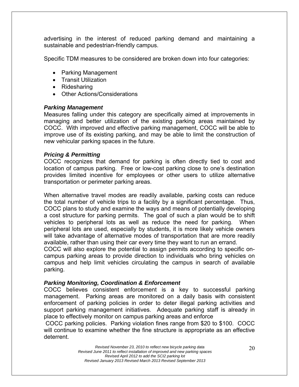advertising in the interest of reduced parking demand and maintaining a sustainable and pedestrian-friendly campus.

Specific TDM measures to be considered are broken down into four categories:

- Parking Management
- Transit Utilization
- Ridesharing
- Other Actions/Considerations

#### *Parking Management*

Measures falling under this category are specifically aimed at improvements in managing and better utilization of the existing parking areas maintained by COCC. With improved and effective parking management, COCC will be able to improve use of its existing parking, and may be able to limit the construction of new vehicular parking spaces in the future.

#### *Pricing & Permitting*

COCC recognizes that demand for parking is often directly tied to cost and location of campus parking. Free or low-cost parking close to one's destination provides limited incentive for employees or other users to utilize alternative transportation or perimeter parking areas.

When alternative travel modes are readily available, parking costs can reduce the total number of vehicle trips to a facility by a significant percentage. Thus, COCC plans to study and examine the ways and means of potentially developing a cost structure for parking permits. The goal of such a plan would be to shift vehicles to peripheral lots as well as reduce the need for parking. When peripheral lots are used, especially by students, it is more likely vehicle owners will take advantage of alternative modes of transportation that are more readily available, rather than using their car every time they want to run an errand.

COCC will also explore the potential to assign permits according to specific oncampus parking areas to provide direction to individuals who bring vehicles on campus and help limit vehicles circulating the campus in search of available parking.

#### *Parking Monitoring, Coordination & Enforcement*

COCC believes consistent enforcement is a key to successful parking management. Parking areas are monitored on a daily basis with consistent enforcement of parking policies in order to deter illegal parking activities and support parking management initiatives. Adequate parking staff is already in place to effectively monitor on campus parking areas and enforce

 COCC parking policies. Parking violation fines range from \$20 to \$100. COCC will continue to examine whether the fine structure is appropriate as an effective deterrent.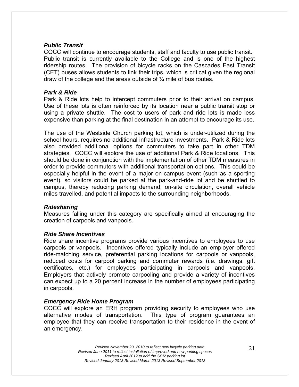#### *Public Transit*

COCC will continue to encourage students, staff and faculty to use public transit. Public transit is currently available to the College and is one of the highest ridership routes. The provision of bicycle racks on the Cascades East Transit (CET) buses allows students to link their trips, which is critical given the regional draw of the college and the areas outside of  $\frac{1}{4}$  mile of bus routes.

#### *Park & Ride*

Park & Ride lots help to intercept commuters prior to their arrival on campus. Use of these lots is often reinforced by its location near a public transit stop or using a private shuttle. The cost to users of park and ride lots is made less expensive than parking at the final destination in an attempt to encourage its use.

The use of the Westside Church parking lot, which is under-utilized during the school hours, requires no additional infrastructure investments. Park & Ride lots also provided additional options for commuters to take part in other TDM strategies. COCC will explore the use of additional Park & Ride locations. This should be done in conjunction with the implementation of other TDM measures in order to provide commuters with additional transportation options. This could be especially helpful in the event of a major on-campus event (such as a sporting event), so visitors could be parked at the park-and-ride lot and be shuttled to campus, thereby reducing parking demand, on-site circulation, overall vehicle miles travelled, and potential impacts to the surrounding neighborhoods.

#### *Ridesharing*

Measures falling under this category are specifically aimed at encouraging the creation of carpools and vanpools.

#### *Ride Share Incentives*

Ride share incentive programs provide various incentives to employees to use carpools or vanpools. Incentives offered typically include an employer offered ride-matching service, preferential parking locations for carpools or vanpools, reduced costs for carpool parking and commuter rewards (i.e. drawings, gift certificates, etc.) for employees participating in carpools and vanpools. Employers that actively promote carpooling and provide a variety of incentives can expect up to a 20 percent increase in the number of employees participating in carpools.

#### *Emergency Ride Home Program*

COCC will explore an ERH program providing security to employees who use alternative modes of transportation. This type of program guarantees an employee that they can receive transportation to their residence in the event of an emergency.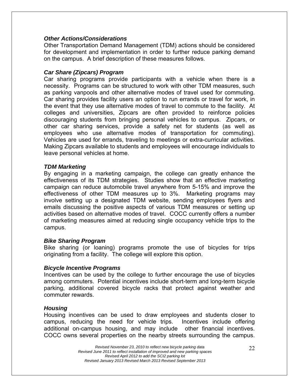#### *Other Actions/Considerations*

Other Transportation Demand Management (TDM) actions should be considered for development and implementation in order to further reduce parking demand on the campus. A brief description of these measures follows.

#### *Car Share (Zipcars) Program*

Car sharing programs provide participants with a vehicle when there is a necessity. Programs can be structured to work with other TDM measures, such as parking vanpools and other alternative modes of travel used for commuting. Car sharing provides facility users an option to run errands or travel for work, in the event that they use alternative modes of travel to commute to the facility. At colleges and universities, Zipcars are often provided to reinforce policies discouraging students from bringing personal vehicles to campus. Zipcars, or other car sharing services, provide a safety net for students (as well as employees who use alternative modes of transportation for commuting). Vehicles are used for errands, traveling to meetings or extra-curricular activities. Making Zipcars available to students and employees will encourage individuals to leave personal vehicles at home.

#### *TDM Marketing*

By engaging in a marketing campaign, the college can greatly enhance the effectiveness of its TDM strategies. Studies show that an effective marketing campaign can reduce automobile travel anywhere from 5-15% and improve the effectiveness of other TDM measures up to 3%. Marketing programs may involve setting up a designated TDM website, sending employees flyers and emails discussing the positive aspects of various TDM measures or setting up activities based on alternative modes of travel. COCC currently offers a number of marketing measures aimed at reducing single occupancy vehicle trips to the campus.

#### *Bike Sharing Program*

Bike sharing (or loaning) programs promote the use of bicycles for trips originating from a facility. The college will explore this option.

#### *Bicycle Incentive Programs*

Incentives can be used by the college to further encourage the use of bicycles among commuters. Potential incentives include short-term and long-term bicycle parking, additional covered bicycle racks that protect against weather and commuter rewards.

#### *Housing*

Housing incentives can be used to draw employees and students closer to campus, reducing the need for vehicle trips. Incentives include offering additional on-campus housing, and may include other financial incentives. COCC owns several properties on the nearby streets surrounding the campus.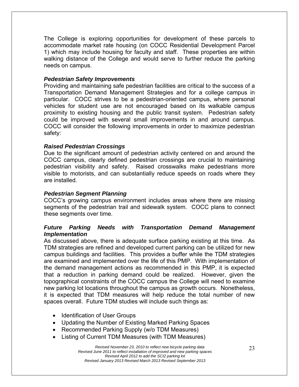The College is exploring opportunities for development of these parcels to accommodate market rate housing (on COCC Residential Development Parcel 1) which may include housing for faculty and staff. These properties are within walking distance of the College and would serve to further reduce the parking needs on campus.

#### *Pedestrian Safety Improvements*

Providing and maintaining safe pedestrian facilities are critical to the success of a Transportation Demand Management Strategies and for a college campus in particular. COCC strives to be a pedestrian-oriented campus, where personal vehicles for student use are not encouraged based on its walkable campus proximity to existing housing and the public transit system. Pedestrian safety could be improved with several small improvements in and around campus. COCC will consider the following improvements in order to maximize pedestrian safety:

#### *Raised Pedestrian Crossings*

Due to the significant amount of pedestrian activity centered on and around the COCC campus, clearly defined pedestrian crossings are crucial to maintaining pedestrian visibility and safety. Raised crosswalks make pedestrians more visible to motorists, and can substantially reduce speeds on roads where they are installed.

#### *Pedestrian Segment Planning*

COCC's growing campus environment includes areas where there are missing segments of the pedestrian trail and sidewalk system. COCC plans to connect these segments over time.

#### *Future Parking Needs with Transportation Demand Management Implementation*

As discussed above, there is adequate surface parking existing at this time. As TDM strategies are refined and developed current parking can be utilized for new campus buildings and facilities. This provides a buffer while the TDM strategies are examined and implemented over the life of this PMP. With implementation of the demand management actions as recommended in this PMP, it is expected that a reduction in parking demand could be realized. However, given the topographical constraints of the COCC campus the College will need to examine new parking lot locations throughout the campus as growth occurs. Nonetheless, it is expected that TDM measures will help reduce the total number of new spaces overall. Future TDM studies will include such things as:

- Identification of User Groups
- Updating the Number of Existing Marked Parking Spaces
- Recommended Parking Supply (w/o TDM Measures)
- Listing of Current TDM Measures (with TDM Measures)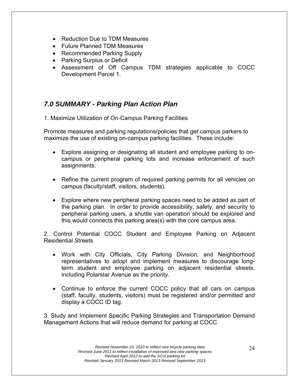- Reduction Due to TDM Measures
- Future Planned TDM Measures
- Recommended Parking Supply
- Parking Surplus or Deficit
- Assessment of Off Campus TDM strategies applicable to COCC Development Parcel 1.

# *7.0 SUMMARY - Parking Plan Action Plan*

1. Maximize Utilization of On-Campus Parking Facilities

Promote measures and parking regulations/policies that get campus parkers to maximize the use of existing on-campus parking facilities. These include:

- Explore assigning or designating all student and employee parking to oncampus or peripheral parking lots and increase enforcement of such assignments.
- Refine the current program of required parking permits for all vehicles on campus (faculty/staff, visitors, students).
- Explore where new peripheral parking spaces need to be added as part of the parking plan. In order to provide accessibility, safety, and security to peripheral parking users, a shuttle van operation should be explored and this would connects this parking area(s) with the core campus area.

2. Control Potential COCC Student and Employee Parking on Adjacent Residential Streets

- Work with City Officials, City Parking Division, and Neighborhood representatives to adopt and implement measures to discourage longterm student and employee parking on adjacent residential streets, including Polarstar Avenue as the priority.
- Continue to enforce the current COCC policy that all cars on campus (staff, faculty, students, visitors) must be registered and/or permitted and display a COCC ID tag.

3. Study and Implement Specific Parking Strategies and Transportation Demand Management Actions that will reduce demand for parking at COCC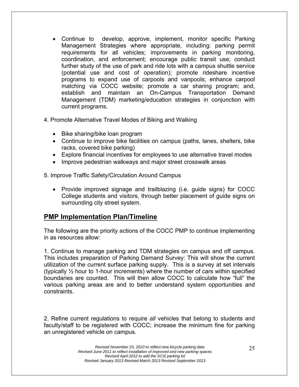- Continue to develop, approve, implement, monitor specific Parking Management Strategies where appropriate, including: parking permit requirements for all vehicles; improvements in parking monitoring, coordination, and enforcement; encourage public transit use; conduct further study of the use of park and ride lots with a campus shuttle service (potential use and cost of operation); promote rideshare incentive programs to expand use of carpools and vanpools; enhance carpool matching via COCC website; promote a car sharing program; and, establish and maintain an On-Campus Transportation Demand Management (TDM) marketing/education strategies in conjunction with current programs.
- 4. Promote Alternative Travel Modes of Biking and Walking
	- Bike sharing/bike loan program
	- Continue to improve bike facilities on campus (paths, lanes, shelters, bike racks, covered bike parking)
	- Explore financial incentives for employees to use alternative travel modes
	- Improve pedestrian walkways and major street crosswalk areas

5. Improve Traffic Safety/Circulation Around Campus

• Provide improved signage and trailblazing (i.e. guide signs) for COCC College students and visitors, through better placement of guide signs on surrounding city street system.

# **PMP Implementation Plan/Timeline**

The following are the priority actions of the COCC PMP to continue implementing in as resources allow:

1. Continue to manage parking and TDM strategies on campus and off campus. This includes preparation of Parking Demand Survey: This will show the current utilization of the current surface parking supply. This is a survey at set intervals (typically ½ hour to 1-hour increments) where the number of cars within specified boundaries are counted. This will then allow COCC to calculate how "full" the various parking areas are and to better understand system opportunities and constraints.

2. Refine current regulations to require *all* vehicles that belong to students and faculty/staff to be registered with COCC; increase the minimum fine for parking an unregistered vehicle on campus.